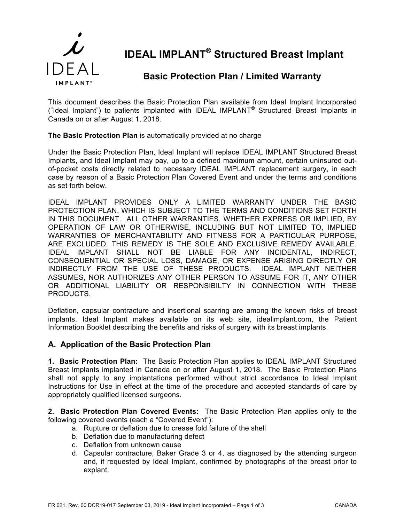

# **IDEAL IMPLANT® Structured Breast Implant**

## **Basic Protection Plan / Limited Warranty**

This document describes the Basic Protection Plan available from Ideal Implant Incorporated ("Ideal Implant") to patients implanted with IDEAL IMPLANT**®** Structured Breast Implants in Canada on or after August 1, 2018.

#### **The Basic Protection Plan** is automatically provided at no charge

Under the Basic Protection Plan, Ideal Implant will replace IDEAL IMPLANT Structured Breast Implants, and Ideal Implant may pay, up to a defined maximum amount, certain uninsured outof-pocket costs directly related to necessary IDEAL IMPLANT replacement surgery, in each case by reason of a Basic Protection Plan Covered Event and under the terms and conditions as set forth below.

IDEAL IMPLANT PROVIDES ONLY A LIMITED WARRANTY UNDER THE BASIC PROTECTION PLAN, WHICH IS SUBJECT TO THE TERMS AND CONDITIONS SET FORTH IN THIS DOCUMENT. ALL OTHER WARRANTIES, WHETHER EXPRESS OR IMPLIED, BY OPERATION OF LAW OR OTHERWISE, INCLUDING BUT NOT LIMITED TO, IMPLIED WARRANTIES OF MERCHANTABILITY AND FITNESS FOR A PARTICULAR PURPOSE, ARE EXCLUDED. THIS REMEDY IS THE SOLE AND EXCLUSIVE REMEDY AVAILABLE. IDEAL IMPLANT SHALL NOT BE LIABLE FOR ANY INCIDENTAL, INDIRECT, CONSEQUENTIAL OR SPECIAL LOSS, DAMAGE, OR EXPENSE ARISING DIRECTLY OR INDIRECTLY FROM THE USE OF THESE PRODUCTS. IDEAL IMPLANT NEITHER ASSUMES, NOR AUTHORIZES ANY OTHER PERSON TO ASSUME FOR IT, ANY OTHER OR ADDITIONAL LIABILITY OR RESPONSIBILTY IN CONNECTION WITH THESE PRODUCTS.

Deflation, capsular contracture and insertional scarring are among the known risks of breast implants. Ideal Implant makes available on its web site, idealimplant.com, the Patient Information Booklet describing the benefits and risks of surgery with its breast implants.

#### **A. Application of the Basic Protection Plan**

**1. Basic Protection Plan:** The Basic Protection Plan applies to IDEAL IMPLANT Structured Breast Implants implanted in Canada on or after August 1, 2018. The Basic Protection Plans shall not apply to any implantations performed without strict accordance to Ideal Implant Instructions for Use in effect at the time of the procedure and accepted standards of care by appropriately qualified licensed surgeons.

**2. Basic Protection Plan Covered Events:** The Basic Protection Plan applies only to the following covered events (each a "Covered Event"):

- a. Rupture or deflation due to crease fold failure of the shell
- b. Deflation due to manufacturing defect
- c. Deflation from unknown cause
- d. Capsular contracture, Baker Grade 3 or 4, as diagnosed by the attending surgeon and, if requested by Ideal Implant, confirmed by photographs of the breast prior to explant.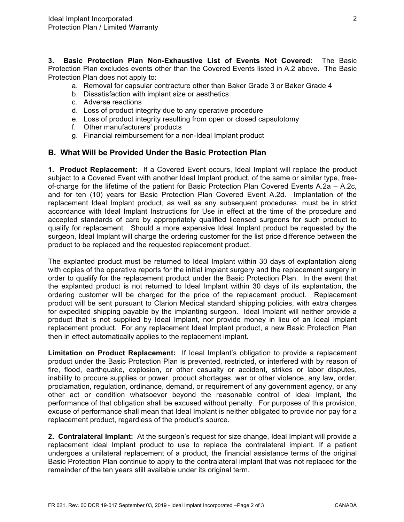**3. Basic Protection Plan Non-Exhaustive List of Events Not Covered:** The Basic Protection Plan excludes events other than the Covered Events listed in A.2 above. The Basic Protection Plan does not apply to:

- a. Removal for capsular contracture other than Baker Grade 3 or Baker Grade 4
- b. Dissatisfaction with implant size or aesthetics
- c. Adverse reactions
- d. Loss of product integrity due to any operative procedure
- e. Loss of product integrity resulting from open or closed capsulotomy
- f. Other manufacturers' products
- g. Financial reimbursement for a non-Ideal Implant product

#### **B. What Will be Provided Under the Basic Protection Plan**

**1. Product Replacement:** If a Covered Event occurs, Ideal Implant will replace the product subject to a Covered Event with another Ideal Implant product, of the same or similar type, freeof-charge for the lifetime of the patient for Basic Protection Plan Covered Events A.2a – A.2c, and for ten (10) years for Basic Protection Plan Covered Event A.2d. Implantation of the replacement Ideal Implant product, as well as any subsequent procedures, must be in strict accordance with Ideal Implant Instructions for Use in effect at the time of the procedure and accepted standards of care by appropriately qualified licensed surgeons for such product to qualify for replacement. Should a more expensive Ideal Implant product be requested by the surgeon, Ideal Implant will charge the ordering customer for the list price difference between the product to be replaced and the requested replacement product.

The explanted product must be returned to Ideal Implant within 30 days of explantation along with copies of the operative reports for the initial implant surgery and the replacement surgery in order to qualify for the replacement product under the Basic Protection Plan. In the event that the explanted product is not returned to Ideal Implant within 30 days of its explantation, the ordering customer will be charged for the price of the replacement product. Replacement product will be sent pursuant to Clarion Medical standard shipping policies, with extra charges for expedited shipping payable by the implanting surgeon. Ideal Implant will neither provide a product that is not supplied by Ideal Implant, nor provide money in lieu of an Ideal Implant replacement product. For any replacement Ideal Implant product, a new Basic Protection Plan then in effect automatically applies to the replacement implant.

**Limitation on Product Replacement:** If Ideal Implant's obligation to provide a replacement product under the Basic Protection Plan is prevented, restricted, or interfered with by reason of fire, flood, earthquake, explosion, or other casualty or accident, strikes or labor disputes, inability to procure supplies or power, product shortages, war or other violence, any law, order, proclamation, regulation, ordinance, demand, or requirement of any government agency, or any other act or condition whatsoever beyond the reasonable control of Ideal Implant, the performance of that obligation shall be excused without penalty. For purposes of this provision, excuse of performance shall mean that Ideal Implant is neither obligated to provide nor pay for a replacement product, regardless of the product's source.

**2. Contralateral Implant:** At the surgeon's request for size change, Ideal Implant will provide a replacement Ideal Implant product to use to replace the contralateral implant. If a patient undergoes a unilateral replacement of a product, the financial assistance terms of the original Basic Protection Plan continue to apply to the contralateral implant that was not replaced for the remainder of the ten years still available under its original term.